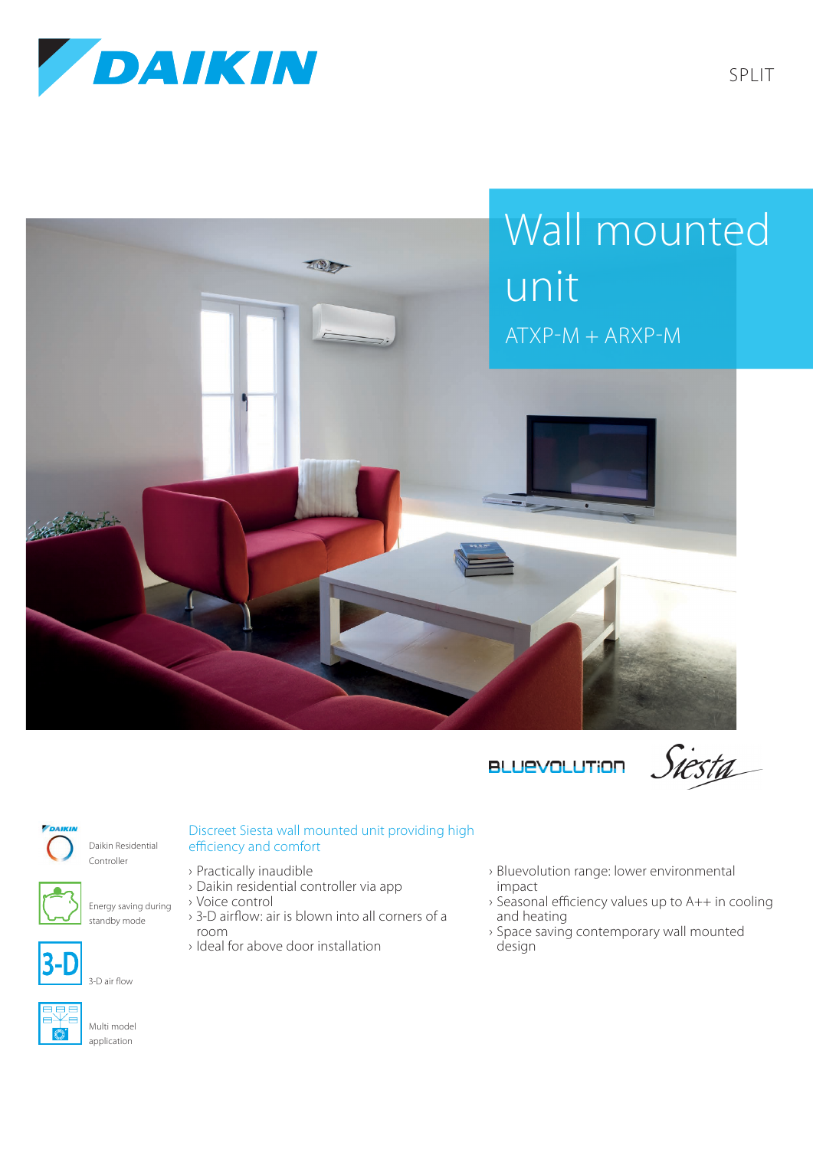





Siesta

SPLIT



Daikin Residential Controller

> Energy saving during standby mode

## Discreet Siesta wall mounted unit providing high efficiency and comfort

- › Practically inaudible
- › Daikin residential controller via app
- › Voice control
- › 3-D airflow: air is blown into all corners of a room
- › Ideal for above door installation
- › Bluevolution range: lower environmental impact
- › Seasonal efficiency values up to A++ in cooling and heating
- › Space saving contemporary wall mounted design



Multi model application

3-D air flow